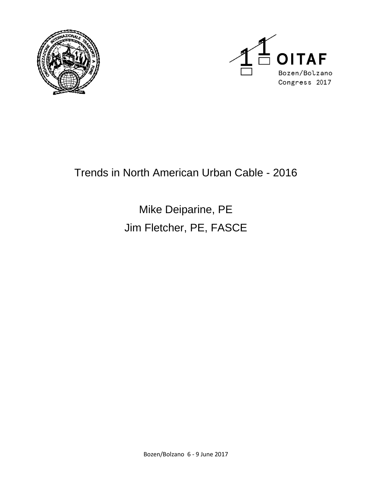



## Trends in North American Urban Cable - 2016

# Mike Deiparine, PE Jim Fletcher, PE, FASCE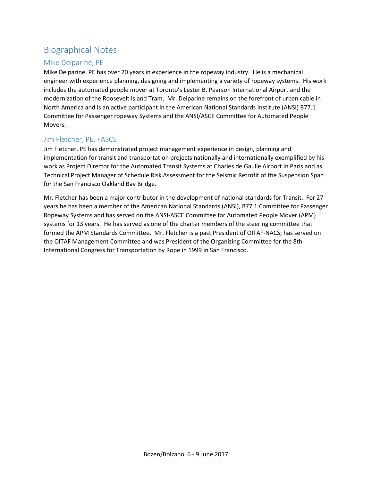## Biographical Notes

#### Mike Deiparine, PE

Mike Deiparine, PE has over 20 years in experience in the ropeway industry. He is a mechanical engineer with experience planning, designing and implementing a variety of ropeway systems. His work includes the automated people mover at Toronto's Lester B. Pearson International Airport and the modernization of the Roosevelt Island Tram. Mr. Deiparine remains on the forefront of urban cable in North America and is an active participant in the American National Standards Institute (ANSI) B77.1 Committee for Passenger ropeway Systems and the ANSI/ASCE Committee for Automated People Movers.

#### Jim Fletcher, PE, FASCE

Jim Fletcher, PE has demonstrated project management experience in design, planning and implementation for transit and transportation projects nationally and internationally exemplified by his work as Project Director for the Automated Transit Systems at Charles de Gaulle Airport in Paris and as Technical Project Manager of Schedule Risk Assessment for the Seismic Retrofit of the Suspension Span for the San Francisco Oakland Bay Bridge.

Mr. Fletcher has been a major contributor in the development of national standards for Transit. For 27 years he has been a member of the American National Standards (ANSI), B77.1 Committee for Passenger Ropeway Systems and has served on the ANSI-ASCE Committee for Automated People Mover (APM) systems for 13 years. He has served as one of the charter members of the steering committee that formed the APM Standards Committee. Mr. Fletcher is a past President of OITAF-NACS; has served on the OITAF Management Committee and was President of the Organizing Committee for the 8th International Congress for Transportation by Rope in 1999 in San Francisco.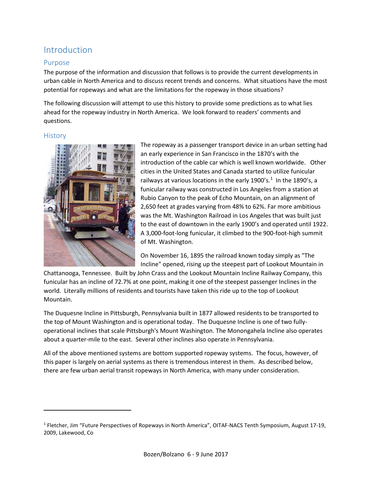## Introduction

#### Purpose

The purpose of the information and discussion that follows is to provide the current developments in urban cable in North America and to discuss recent trends and concerns. What situations have the most potential for ropeways and what are the limitations for the ropeway in those situations?

The following discussion will attempt to use this history to provide some predictions as to what lies ahead for the ropeway industry in North America. We look forward to readers' comments and questions.

#### **History**

l



The ropeway as a passenger transport device in an urban setting had an early experience in San Francisco in the 1870's with the introduction of the cable car which is well known worldwide. Other cities in the United States and Canada started to utilize funicular railways at various locations in the early [1](#page-2-0)900's.<sup>1</sup> In the 1890's, a funicular railway was constructed in Los Angeles from a station at Rubio Canyon to the peak of Echo Mountain, on an alignment of 2,650 feet at grades varying from 48% to 62%. Far more ambitious was the Mt. Washington Railroad in Los Angeles that was built just to the east of downtown in the early 1900's and operated until 1922. A 3,000-foot-long funicular, it climbed to the 900-foot-high summit of Mt. Washington.

On November 16, 1895 the railroad known today simply as "The Incline" opened, rising up the steepest part of Lookout Mountain in

Chattanooga, Tennessee. Built by John Crass and the Lookout Mountain Incline Railway Company, this funicular has an incline of 72.7% at one point, making it one of the steepest passenger Inclines in the world. Literally millions of residents and tourists have taken this ride up to the top of Lookout Mountain.

The Duquesne Incline in Pittsburgh, Pennsylvania built in 1877 allowed residents to be transported to the top of Mount Washington and is operational today. The Duquesne Incline is one of two fullyoperational inclines that scale Pittsburgh's Mount Washington. The Monongahela Incline also operates about a quarter-mile to the east. Several other inclines also operate in Pennsylvania.

All of the above mentioned systems are bottom supported ropeway systems. The focus, however, of this paper is largely on aerial systems as there is tremendous interest in them. As described below, there are few urban aerial transit ropeways in North America, with many under consideration.

<span id="page-2-0"></span><sup>1</sup> Fletcher, Jim "Future Perspectives of Ropeways in North America", OITAF-NACS Tenth Symposium, August 17-19, 2009, Lakewood, Co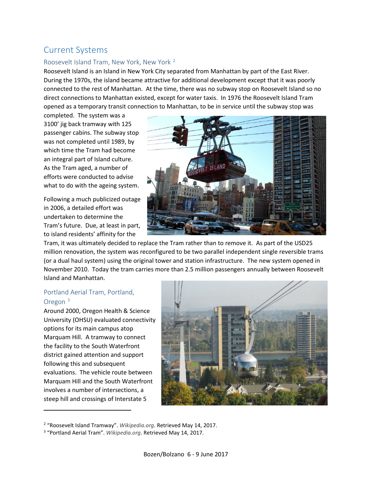## Current Systems

#### Roosevelt Island Tram, New York, New York [2](#page-3-0)

Roosevelt Island is an Island in New York City separated from Manhattan by part of the East River. During the 1970s, the island became attractive for additional development except that it was poorly connected to the rest of Manhattan. At the time, there was no subway stop on Roosevelt Island so no direct connections to Manhattan existed, except for water taxis. In 1976 the Roosevelt Island Tram opened as a temporary transit connection to Manhattan, to be in service until the subway stop was

completed. The system was a 3100' jig back tramway with 125 passenger cabins. The subway stop was not completed until 1989, by which time the Tram had become an integral part of Island culture. As the Tram aged, a number of efforts were conducted to advise what to do with the ageing system.

Following a much publicized outage in 2006, a detailed effort was undertaken to determine the Tram's future. Due, at least in part, to island residents' affinity for the



Tram, it was ultimately decided to replace the Tram rather than to remove it. As part of the USD25 million renovation, the system was reconfigured to be two parallel independent single reversible trams (or a dual haul system) using the original tower and station infrastructure. The new system opened in November 2010. Today the tram carries more than 2.5 million passengers annually between Roosevelt Island and Manhattan.

#### Portland Aerial Tram, Portland, Oregon [3](#page-3-1)

l

Around 2000, Oregon Health & Science University (OHSU) evaluated connectivity options for its main campus atop Marquam Hill. A tramway to connect the facility to the South Waterfront district gained attention and support following this and subsequent evaluations. The vehicle route between Marquam Hill and the South Waterfront involves a number of intersections, a steep hill and crossings of Interstate 5



<sup>2</sup> "Roosevelt Island Tramway". *Wikipedia.org*. Retrieved May 14, 2017.

<span id="page-3-1"></span><span id="page-3-0"></span><sup>3</sup> "Portland Aerial Tram". *Wikipedia.org*. Retrieved May 14, 2017.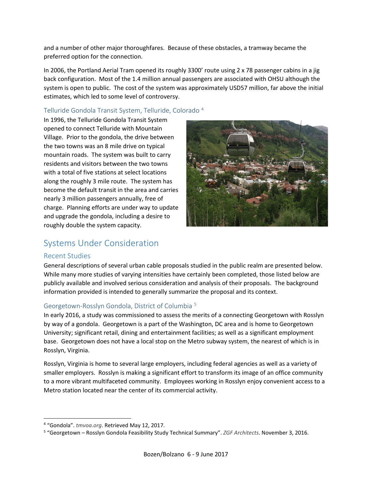and a number of other major thoroughfares. Because of these obstacles, a tramway became the preferred option for the connection.

In 2006, the Portland Aerial Tram opened its roughly 3300' route using 2 x 78 passenger cabins in a jig back configuration. Most of the 1.4 million annual passengers are associated with OHSU although the system is open to public. The cost of the system was approximately USD57 million, far above the initial estimates, which led to some level of controversy.

#### Telluride Gondola Transit System, Telluride, Colorado [4](#page-4-0)

In 1996, the Telluride Gondola Transit System opened to connect Telluride with Mountain Village. Prior to the gondola, the drive between the two towns was an 8 mile drive on typical mountain roads. The system was built to carry residents and visitors between the two towns with a total of five stations at select locations along the roughly 3 mile route. The system has become the default transit in the area and carries nearly 3 million passengers annually, free of charge. Planning efforts are under way to update and upgrade the gondola, including a desire to roughly double the system capacity.



## Systems Under Consideration

#### Recent Studies

General descriptions of several urban cable proposals studied in the public realm are presented below. While many more studies of varying intensities have certainly been completed, those listed below are publicly available and involved serious consideration and analysis of their proposals. The background information provided is intended to generally summarize the proposal and its context.

#### Georgetown-Rosslyn Gondola, District of Columbia [5](#page-4-1)

In early 2016, a study was commissioned to assess the merits of a connecting Georgetown with Rosslyn by way of a gondola. Georgetown is a part of the Washington, DC area and is home to Georgetown University; significant retail, dining and entertainment facilities; as well as a significant employment base. Georgetown does not have a local stop on the Metro subway system, the nearest of which is in Rosslyn, Virginia.

Rosslyn, Virginia is home to several large employers, including federal agencies as well as a variety of smaller employers. Rosslyn is making a significant effort to transform its image of an office community to a more vibrant multifaceted community. Employees working in Rosslyn enjoy convenient access to a Metro station located near the center of its commercial activity.

<span id="page-4-0"></span> <sup>4</sup> "Gondola". *tmvoa.org*. Retrieved May 12, 2017.

<span id="page-4-1"></span><sup>5</sup> "Georgetown – Rosslyn Gondola Feasibility Study Technical Summary". *ZGF Architects*. November 3, 2016.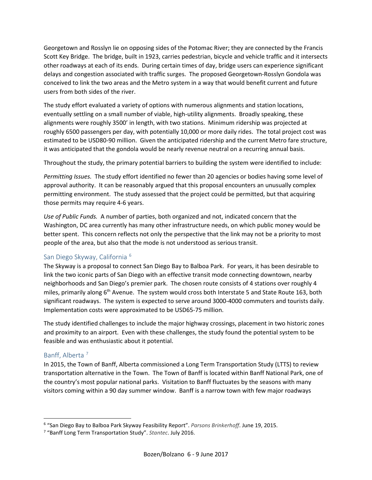Georgetown and Rosslyn lie on opposing sides of the Potomac River; they are connected by the Francis Scott Key Bridge. The bridge, built in 1923, carries pedestrian, bicycle and vehicle traffic and it intersects other roadways at each of its ends. During certain times of day, bridge users can experience significant delays and congestion associated with traffic surges. The proposed Georgetown-Rosslyn Gondola was conceived to link the two areas and the Metro system in a way that would benefit current and future users from both sides of the river.

The study effort evaluated a variety of options with numerous alignments and station locations, eventually settling on a small number of viable, high-utility alignments. Broadly speaking, these alignments were roughly 3500' in length, with two stations. Minimum ridership was projected at roughly 6500 passengers per day, with potentially 10,000 or more daily rides. The total project cost was estimated to be USD80-90 million. Given the anticipated ridership and the current Metro fare structure, it was anticipated that the gondola would be nearly revenue neutral on a recurring annual basis.

Throughout the study, the primary potential barriers to building the system were identified to include:

*Permitting Issues.* The study effort identified no fewer than 20 agencies or bodies having some level of approval authority. It can be reasonably argued that this proposal encounters an unusually complex permitting environment. The study assessed that the project could be permitted, but that acquiring those permits may require 4-6 years.

*Use of Public Funds.* A number of parties, both organized and not, indicated concern that the Washington, DC area currently has many other infrastructure needs, on which public money would be better spent. This concern reflects not only the perspective that the link may not be a priority to most people of the area, but also that the mode is not understood as serious transit.

#### San Diego Skyway, California [6](#page-5-0)

The Skyway is a proposal to connect San Diego Bay to Balboa Park. For years, it has been desirable to link the two iconic parts of San Diego with an effective transit mode connecting downtown, nearby neighborhoods and San Diego's premier park. The chosen route consists of 4 stations over roughly 4 miles, primarily along  $6<sup>th</sup>$  Avenue. The system would cross both Interstate 5 and State Route 163, both significant roadways. The system is expected to serve around 3000-4000 commuters and tourists daily. Implementation costs were approximated to be USD65-75 million.

The study identified challenges to include the major highway crossings, placement in two historic zones and proximity to an airport. Even with these challenges, the study found the potential system to be feasible and was enthusiastic about it potential.

#### Banff, Alberta [7](#page-5-1)

In 2015, the Town of Banff, Alberta commissioned a Long Term Transportation Study (LTTS) to review transportation alternative in the Town. The Town of Banff is located within Banff National Park, one of the country's most popular national parks. Visitation to Banff fluctuates by the seasons with many visitors coming within a 90 day summer window. Banff is a narrow town with few major roadways

<span id="page-5-0"></span> <sup>6</sup> "San Diego Bay to Balboa Park Skyway Feasibility Report". *Parsons Brinkerhoff*. June 19, 2015.

<span id="page-5-1"></span><sup>7</sup> "Banff Long Term Transportation Study". *Stantec*. July 2016.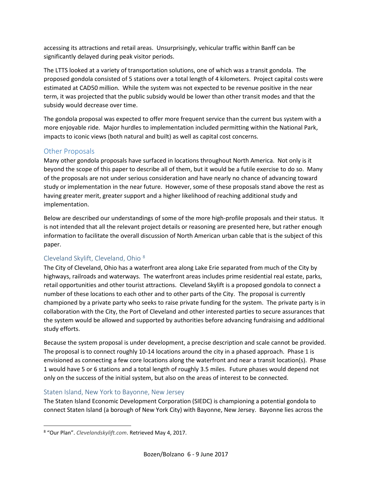accessing its attractions and retail areas. Unsurprisingly, vehicular traffic within Banff can be significantly delayed during peak visitor periods.

The LTTS looked at a variety of transportation solutions, one of which was a transit gondola. The proposed gondola consisted of 5 stations over a total length of 4 kilometers. Project capital costs were estimated at CAD50 million. While the system was not expected to be revenue positive in the near term, it was projected that the public subsidy would be lower than other transit modes and that the subsidy would decrease over time.

The gondola proposal was expected to offer more frequent service than the current bus system with a more enjoyable ride. Major hurdles to implementation included permitting within the National Park, impacts to iconic views (both natural and built) as well as capital cost concerns.

#### Other Proposals

Many other gondola proposals have surfaced in locations throughout North America. Not only is it beyond the scope of this paper to describe all of them, but it would be a futile exercise to do so. Many of the proposals are not under serious consideration and have nearly no chance of advancing toward study or implementation in the near future. However, some of these proposals stand above the rest as having greater merit, greater support and a higher likelihood of reaching additional study and implementation.

Below are described our understandings of some of the more high-profile proposals and their status. It is not intended that all the relevant project details or reasoning are presented here, but rather enough information to facilitate the overall discussion of North American urban cable that is the subject of this paper.

#### Cleveland Skylift, Cleveland, Ohio [8](#page-6-0)

The City of Cleveland, Ohio has a waterfront area along Lake Erie separated from much of the City by highways, railroads and waterways. The waterfront areas includes prime residential real estate, parks, retail opportunities and other tourist attractions. Cleveland Skylift is a proposed gondola to connect a number of these locations to each other and to other parts of the City. The proposal is currently championed by a private party who seeks to raise private funding for the system. The private party is in collaboration with the City, the Port of Cleveland and other interested parties to secure assurances that the system would be allowed and supported by authorities before advancing fundraising and additional study efforts.

Because the system proposal is under development, a precise description and scale cannot be provided. The proposal is to connect roughly 10-14 locations around the city in a phased approach. Phase 1 is envisioned as connecting a few core locations along the waterfront and near a transit location(s). Phase 1 would have 5 or 6 stations and a total length of roughly 3.5 miles. Future phases would depend not only on the success of the initial system, but also on the areas of interest to be connected.

#### Staten Island, New York to Bayonne, New Jersey

The Staten Island Economic Development Corporation (SIEDC) is championing a potential gondola to connect Staten Island (a borough of New York City) with Bayonne, New Jersey. Bayonne lies across the

<span id="page-6-0"></span> <sup>8</sup> "Our Plan". *Clevelandskylift.com*. Retrieved May 4, 2017.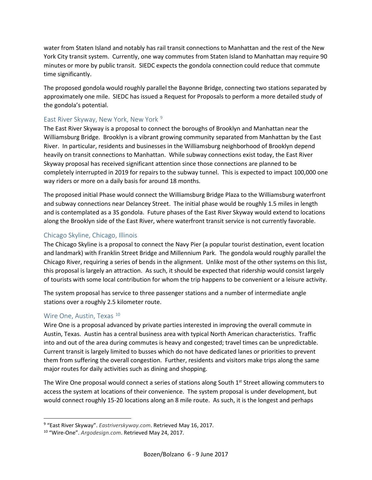water from Staten Island and notably has rail transit connections to Manhattan and the rest of the New York City transit system. Currently, one way commutes from Staten Island to Manhattan may require 90 minutes or more by public transit. SIEDC expects the gondola connection could reduce that commute time significantly.

The proposed gondola would roughly parallel the Bayonne Bridge, connecting two stations separated by approximately one mile. SIEDC has issued a Request for Proposals to perform a more detailed study of the gondola's potential.

#### East River Skyway, New York, New York<sup>[9](#page-7-0)</sup>

The East River Skyway is a proposal to connect the boroughs of Brooklyn and Manhattan near the Williamsburg Bridge. Brooklyn is a vibrant growing community separated from Manhattan by the East River. In particular, residents and businesses in the Williamsburg neighborhood of Brooklyn depend heavily on transit connections to Manhattan. While subway connections exist today, the East River Skyway proposal has received significant attention since those connections are planned to be completely interrupted in 2019 for repairs to the subway tunnel. This is expected to impact 100,000 one way riders or more on a daily basis for around 18 months.

The proposed initial Phase would connect the Williamsburg Bridge Plaza to the Williamsburg waterfront and subway connections near Delancey Street. The initial phase would be roughly 1.5 miles in length and is contemplated as a 3S gondola. Future phases of the East River Skyway would extend to locations along the Brooklyn side of the East River, where waterfront transit service is not currently favorable.

#### Chicago Skyline, Chicago, Illinois

The Chicago Skyline is a proposal to connect the Navy Pier (a popular tourist destination, event location and landmark) with Franklin Street Bridge and Millennium Park. The gondola would roughly parallel the Chicago River, requiring a series of bends in the alignment. Unlike most of the other systems on this list, this proposal is largely an attraction. As such, it should be expected that ridership would consist largely of tourists with some local contribution for whom the trip happens to be convenient or a leisure activity.

The system proposal has service to three passenger stations and a number of intermediate angle stations over a roughly 2.5 kilometer route.

#### Wire One, Austin, Texas<sup>[10](#page-7-1)</sup>

Wire One is a proposal advanced by private parties interested in improving the overall commute in Austin, Texas. Austin has a central business area with typical North American characteristics. Traffic into and out of the area during commutes is heavy and congested; travel times can be unpredictable. Current transit is largely limited to busses which do not have dedicated lanes or priorities to prevent them from suffering the overall congestion. Further, residents and visitors make trips along the same major routes for daily activities such as dining and shopping.

The Wire One proposal would connect a series of stations along South 1<sup>st</sup> Street allowing commuters to access the system at locations of their convenience. The system proposal is under development, but would connect roughly 15-20 locations along an 8 mile route. As such, it is the longest and perhaps

<span id="page-7-0"></span> <sup>9</sup> "East River Skyway". *Eastriverskyway.com*. Retrieved May 16, 2017.

<span id="page-7-1"></span><sup>10</sup> "Wire-One". *Argodesign.com*. Retrieved May 24, 2017.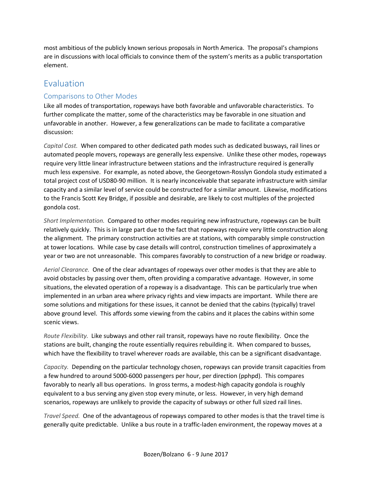most ambitious of the publicly known serious proposals in North America. The proposal's champions are in discussions with local officials to convince them of the system's merits as a public transportation element.

### Evaluation

#### Comparisons to Other Modes

Like all modes of transportation, ropeways have both favorable and unfavorable characteristics. To further complicate the matter, some of the characteristics may be favorable in one situation and unfavorable in another. However, a few generalizations can be made to facilitate a comparative discussion:

*Capital Cost.* When compared to other dedicated path modes such as dedicated busways, rail lines or automated people movers, ropeways are generally less expensive. Unlike these other modes, ropeways require very little linear infrastructure between stations and the infrastructure required is generally much less expensive. For example, as noted above, the Georgetown-Rosslyn Gondola study estimated a total project cost of USD80-90 million. It is nearly inconceivable that separate infrastructure with similar capacity and a similar level of service could be constructed for a similar amount. Likewise, modifications to the Francis Scott Key Bridge, if possible and desirable, are likely to cost multiples of the projected gondola cost.

*Short Implementation.* Compared to other modes requiring new infrastructure, ropeways can be built relatively quickly. This is in large part due to the fact that ropeways require very little construction along the alignment. The primary construction activities are at stations, with comparably simple construction at tower locations. While case by case details will control, construction timelines of approximately a year or two are not unreasonable. This compares favorably to construction of a new bridge or roadway.

*Aerial Clearance.* One of the clear advantages of ropeways over other modes is that they are able to avoid obstacles by passing over them, often providing a comparative advantage. However, in some situations, the elevated operation of a ropeway is a disadvantage. This can be particularly true when implemented in an urban area where privacy rights and view impacts are important. While there are some solutions and mitigations for these issues, it cannot be denied that the cabins (typically) travel above ground level. This affords some viewing from the cabins and it places the cabins within some scenic views.

*Route Flexibility.* Like subways and other rail transit, ropeways have no route flexibility. Once the stations are built, changing the route essentially requires rebuilding it. When compared to busses, which have the flexibility to travel wherever roads are available, this can be a significant disadvantage.

*Capacity.* Depending on the particular technology chosen, ropeways can provide transit capacities from a few hundred to around 5000-6000 passengers per hour, per direction (pphpd). This compares favorably to nearly all bus operations. In gross terms, a modest-high capacity gondola is roughly equivalent to a bus serving any given stop every minute, or less. However, in very high demand scenarios, ropeways are unlikely to provide the capacity of subways or other full sized rail lines.

*Travel Speed.* One of the advantageous of ropeways compared to other modes is that the travel time is generally quite predictable. Unlike a bus route in a traffic-laden environment, the ropeway moves at a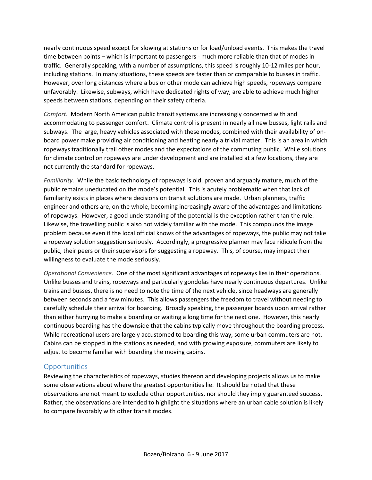nearly continuous speed except for slowing at stations or for load/unload events. This makes the travel time between points – which is important to passengers - much more reliable than that of modes in traffic. Generally speaking, with a number of assumptions, this speed is roughly 10-12 miles per hour, including stations. In many situations, these speeds are faster than or comparable to busses in traffic. However, over long distances where a bus or other mode can achieve high speeds, ropeways compare unfavorably. Likewise, subways, which have dedicated rights of way, are able to achieve much higher speeds between stations, depending on their safety criteria.

*Comfort.* Modern North American public transit systems are increasingly concerned with and accommodating to passenger comfort. Climate control is present in nearly all new busses, light rails and subways. The large, heavy vehicles associated with these modes, combined with their availability of onboard power make providing air conditioning and heating nearly a trivial matter. This is an area in which ropeways traditionally trail other modes and the expectations of the commuting public. While solutions for climate control on ropeways are under development and are installed at a few locations, they are not currently the standard for ropeways.

*Familiarity.* While the basic technology of ropeways is old, proven and arguably mature, much of the public remains uneducated on the mode's potential. This is acutely problematic when that lack of familiarity exists in places where decisions on transit solutions are made. Urban planners, traffic engineer and others are, on the whole, becoming increasingly aware of the advantages and limitations of ropeways. However, a good understanding of the potential is the exception rather than the rule. Likewise, the travelling public is also not widely familiar with the mode. This compounds the image problem because even if the local official knows of the advantages of ropeways, the public may not take a ropeway solution suggestion seriously. Accordingly, a progressive planner may face ridicule from the public, their peers or their supervisors for suggesting a ropeway. This, of course, may impact their willingness to evaluate the mode seriously.

*Operational Convenience.* One of the most significant advantages of ropeways lies in their operations. Unlike busses and trains, ropeways and particularly gondolas have nearly continuous departures. Unlike trains and busses, there is no need to note the time of the next vehicle, since headways are generally between seconds and a few minutes. This allows passengers the freedom to travel without needing to carefully schedule their arrival for boarding. Broadly speaking, the passenger boards upon arrival rather than either hurrying to make a boarding or waiting a long time for the next one. However, this nearly continuous boarding has the downside that the cabins typically move throughout the boarding process. While recreational users are largely accustomed to boarding this way, some urban commuters are not. Cabins can be stopped in the stations as needed, and with growing exposure, commuters are likely to adjust to become familiar with boarding the moving cabins.

#### **Opportunities**

Reviewing the characteristics of ropeways, studies thereon and developing projects allows us to make some observations about where the greatest opportunities lie. It should be noted that these observations are not meant to exclude other opportunities, nor should they imply guaranteed success. Rather, the observations are intended to highlight the situations where an urban cable solution is likely to compare favorably with other transit modes.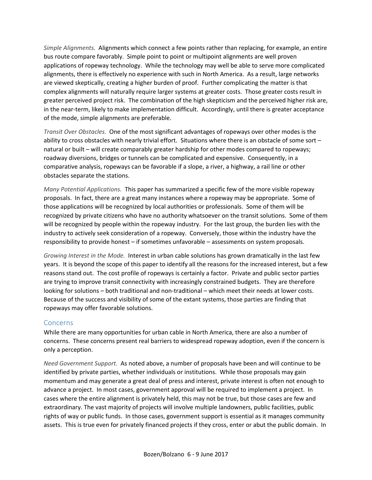*Simple Alignments.* Alignments which connect a few points rather than replacing, for example, an entire bus route compare favorably. Simple point to point or multipoint alignments are well proven applications of ropeway technology. While the technology may well be able to serve more complicated alignments, there is effectively no experience with such in North America. As a result, large networks are viewed skeptically, creating a higher burden of proof. Further complicating the matter is that complex alignments will naturally require larger systems at greater costs. Those greater costs result in greater perceived project risk. The combination of the high skepticism and the perceived higher risk are, in the near-term, likely to make implementation difficult. Accordingly, until there is greater acceptance of the mode, simple alignments are preferable.

*Transit Over Obstacles.* One of the most significant advantages of ropeways over other modes is the ability to cross obstacles with nearly trivial effort. Situations where there is an obstacle of some sort – natural or built – will create comparably greater hardship for other modes compared to ropeways; roadway diversions, bridges or tunnels can be complicated and expensive. Consequently, in a comparative analysis, ropeways can be favorable if a slope, a river, a highway, a rail line or other obstacles separate the stations.

*Many Potential Applications.* This paper has summarized a specific few of the more visible ropeway proposals. In fact, there are a great many instances where a ropeway may be appropriate. Some of those applications will be recognized by local authorities or professionals. Some of them will be recognized by private citizens who have no authority whatsoever on the transit solutions. Some of them will be recognized by people within the ropeway industry. For the last group, the burden lies with the industry to actively seek consideration of a ropeway. Conversely, those within the industry have the responsibility to provide honest – if sometimes unfavorable – assessments on system proposals.

*Growing Interest in the Mode.* Interest in urban cable solutions has grown dramatically in the last few years. It is beyond the scope of this paper to identify all the reasons for the increased interest, but a few reasons stand out. The cost profile of ropeways is certainly a factor. Private and public sector parties are trying to improve transit connectivity with increasingly constrained budgets. They are therefore looking for solutions – both traditional and non-traditional – which meet their needs at lower costs. Because of the success and visibility of some of the extant systems, those parties are finding that ropeways may offer favorable solutions.

#### **Concerns**

While there are many opportunities for urban cable in North America, there are also a number of concerns. These concerns present real barriers to widespread ropeway adoption, even if the concern is only a perception.

*Need Government Support.* As noted above, a number of proposals have been and will continue to be identified by private parties, whether individuals or institutions. While those proposals may gain momentum and may generate a great deal of press and interest, private interest is often not enough to advance a project. In most cases, government approval will be required to implement a project. In cases where the entire alignment is privately held, this may not be true, but those cases are few and extraordinary. The vast majority of projects will involve multiple landowners, public facilities, public rights of way or public funds. In those cases, government support is essential as it manages community assets. This is true even for privately financed projects if they cross, enter or abut the public domain. In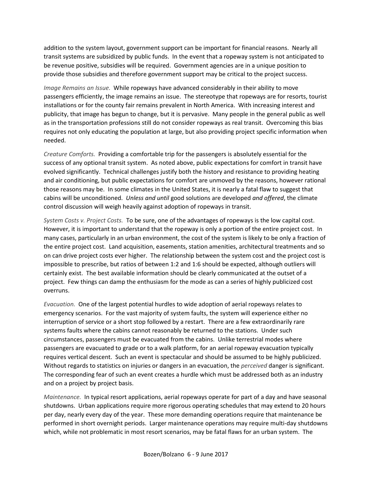addition to the system layout, government support can be important for financial reasons. Nearly all transit systems are subsidized by public funds. In the event that a ropeway system is not anticipated to be revenue positive, subsidies will be required. Government agencies are in a unique position to provide those subsidies and therefore government support may be critical to the project success.

*Image Remains an Issue.* While ropeways have advanced considerably in their ability to move passengers efficiently, the image remains an issue. The stereotype that ropeways are for resorts, tourist installations or for the county fair remains prevalent in North America. With increasing interest and publicity, that image has begun to change, but it is pervasive. Many people in the general public as well as in the transportation professions still do not consider ropeways as real transit. Overcoming this bias requires not only educating the population at large, but also providing project specific information when needed.

*Creature Comforts.* Providing a comfortable trip for the passengers is absolutely essential for the success of any optional transit system. As noted above, public expectations for comfort in transit have evolved significantly. Technical challenges justify both the history and resistance to providing heating and air conditioning, but public expectations for comfort are unmoved by the reasons, however rational those reasons may be. In some climates in the United States, it is nearly a fatal flaw to suggest that cabins will be unconditioned. *Unless and until* good solutions are developed *and offered*, the climate control discussion will weigh heavily against adoption of ropeways in transit.

*System Costs v. Project Costs.* To be sure, one of the advantages of ropeways is the low capital cost. However, it is important to understand that the ropeway is only a portion of the entire project cost. In many cases, particularly in an urban environment, the cost of the system is likely to be only a fraction of the entire project cost. Land acquisition, easements, station amenities, architectural treatments and so on can drive project costs ever higher. The relationship between the system cost and the project cost is impossible to prescribe, but ratios of between 1:2 and 1:6 should be expected, although outliers will certainly exist. The best available information should be clearly communicated at the outset of a project. Few things can damp the enthusiasm for the mode as can a series of highly publicized cost overruns.

*Evacuation.* One of the largest potential hurdles to wide adoption of aerial ropeways relates to emergency scenarios. For the vast majority of system faults, the system will experience either no interruption of service or a short stop followed by a restart. There are a few extraordinarily rare systems faults where the cabins cannot reasonably be returned to the stations. Under such circumstances, passengers must be evacuated from the cabins. Unlike terrestrial modes where passengers are evacuated to grade or to a walk platform, for an aerial ropeway evacuation typically requires vertical descent. Such an event is spectacular and should be assumed to be highly publicized. Without regards to statistics on injuries or dangers in an evacuation, the *perceived* danger is significant. The corresponding fear of such an event creates a hurdle which must be addressed both as an industry and on a project by project basis.

*Maintenance.* In typical resort applications, aerial ropeways operate for part of a day and have seasonal shutdowns. Urban applications require more rigorous operating schedules that may extend to 20 hours per day, nearly every day of the year. These more demanding operations require that maintenance be performed in short overnight periods. Larger maintenance operations may require multi-day shutdowns which, while not problematic in most resort scenarios, may be fatal flaws for an urban system. The